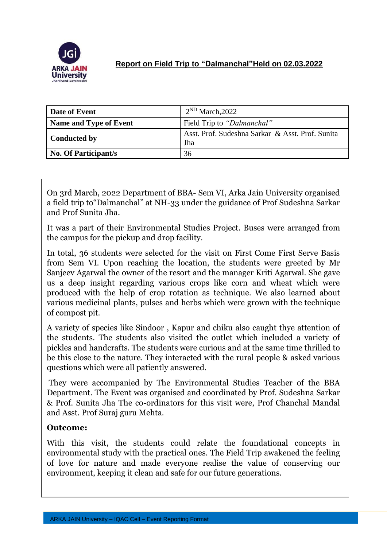

## **Report on Field Trip to "Dalmanchal"Held on 02.03.2022**

| Date of Event          | $2^{ND}$ March, 2022                                    |
|------------------------|---------------------------------------------------------|
| Name and Type of Event | Field Trip to "Dalmanchal"                              |
| <b>Conducted by</b>    | Asst. Prof. Sudeshna Sarkar & Asst. Prof. Sunita<br>Jha |
| No. Of Participant/s   | 36                                                      |

On 3rd March, 2022 Department of BBA- Sem VI, Arka Jain University organised a field trip to"Dalmanchal" at NH-33 under the guidance of Prof Sudeshna Sarkar and Prof Sunita Jha.

It was a part of their Environmental Studies Project. Buses were arranged from the campus for the pickup and drop facility.

In total, 36 students were selected for the visit on First Come First Serve Basis from Sem VI. Upon reaching the location, the students were greeted by Mr Sanjeev Agarwal the owner of the resort and the manager Kriti Agarwal. She gave us a deep insight regarding various crops like corn and wheat which were produced with the help of crop rotation as technique. We also learned about various medicinal plants, pulses and herbs which were grown with the technique of compost pit.

A variety of species like Sindoor , Kapur and chiku also caught thye attention of the students. The students also visited the outlet which included a variety of pickles and handcrafts. The students were curious and at the same time thrilled to be this close to the nature. They interacted with the rural people & asked various questions which were all patiently answered.

They were accompanied by The Environmental Studies Teacher of the BBA Department. The Event was organised and coordinated by Prof. Sudeshna Sarkar & Prof. Sunita Jha The co-ordinators for this visit were, Prof Chanchal Mandal and Asst. Prof Suraj guru Mehta.

## **Outcome:**

With this visit, the students could relate the foundational concepts in environmental study with the practical ones. The Field Trip awakened the feeling of love for nature and made everyone realise the value of conserving our environment, keeping it clean and safe for our future generations.